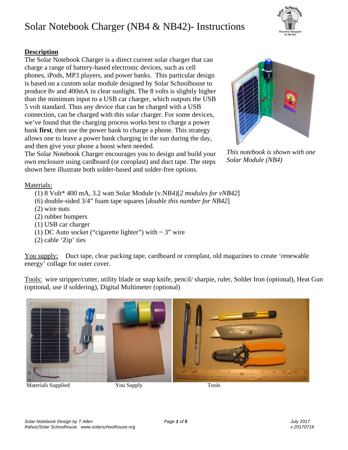#### *Solar Notebook Design by T Allen Page 1 of 5 July 2017 Rahus/Solar Schoolhouse www.solarschoolhouse.org v.20170716*

## Solar Notebook Charger (NB4 & NB42)- Instructions

### **Description**

The Solar Notebook Charger is a direct current solar charger that can charge a range of battery-based electronic devices, such as cell phones, iPods, MP3 players, and power banks. This particular design is based on a custom solar module designed by Solar Schoolhouse to produce 8v and 400mA in clear sunlight. The 8 volts is slightly higher than the minimum input to a USB car charger, which outputs the USB 5 volt standard. Thus any device that can be charged with a USB connection, can be charged with this solar charger. For some devices, we've found that the charging process works best to charge a power bank **first**, then use the power bank to charge a phone. This strategy allows one to leave a power bank charging in the sun during the day, and then give your phone a boost when needed.

The Solar Notebook Charger encourages you to design and build your own enclosure using cardboard (or coroplast) and duct tape. The steps shown here illustrate both solder-based and solder-free options.

Materials:

- (1) 8 Volt\* 400 mA, 3.2 watt Solar Module (v.NB4)[*2 modules for vNB42*]
- (6) double-sided 3/4" foam tape squares [*double this number for NB42*]
- (2) wire nuts
- (2) rubber bumpers
- (1) USB car charger
- (1) DC Auto socket ("cigarette lighter") with  $\sim$  3" wire
- (2) cable 'Zip' ties

You supply: Duct tape, clear packing tape, cardboard or coroplast, old magazines to create 'renewable energy' collage for outer cover.

Tools: wire stripper/cutter, utility blade or snap knife, pencil/ sharpie, ruler, Solder Iron (optional), Heat Gun (optional, use if soldering), Digital Multimeter (optional)



Materials Supplied **The You Supply Tools** Tools





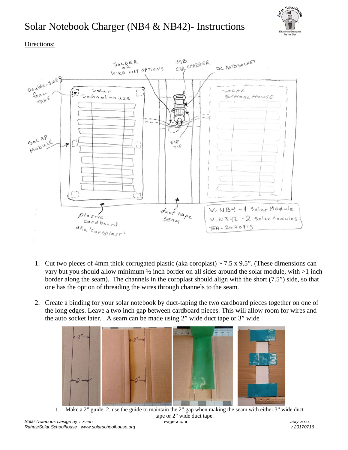

### Directions:



- 1. Cut two pieces of 4mm thick corrugated plastic (aka coroplast)  $\sim$  7.5 x 9.5". (These dimensions can vary but you should allow minimum ½ inch border on all sides around the solar module, with >1 inch border along the seam). The channels in the coroplast should align with the short (7.5") side, so that one has the option of threading the wires through channels to the seam.
- 2. Create a binding for your solar notebook by duct-taping the two cardboard pieces together on one of the long edges. Leave a two inch gap between cardboard pieces. This will allow room for wires and the auto socket later. . A seam can be made using 2" wide duct tape or 3" wide



tape or 2" wide duct tape.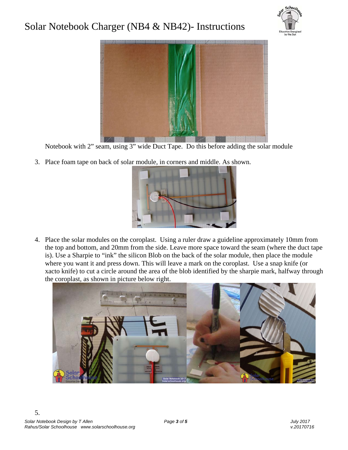



Notebook with 2" seam, using 3" wide Duct Tape. Do this before adding the solar module

3. Place foam tape on back of solar module, in corners and middle. As shown.



4. Place the solar modules on the coroplast. Using a ruler draw a guideline approximately 10mm from the top and bottom, and 20mm from the side. Leave more space toward the seam (where the duct tape is). Use a Sharpie to "ink" the silicon Blob on the back of the solar module, then place the module where you want it and press down. This will leave a mark on the coroplast. Use a snap knife (or xacto knife) to cut a circle around the area of the blob identified by the sharpie mark, halfway through the coroplast, as shown in picture below right.

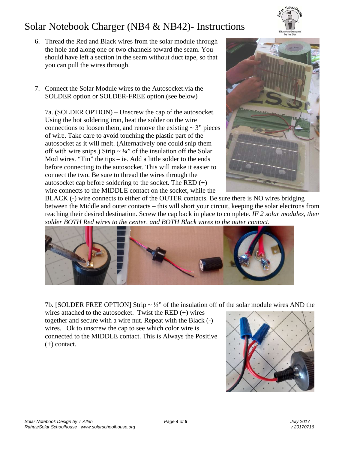- 6. Thread the Red and Black wires from the solar module through the hole and along one or two channels toward the seam. You should have left a section in the seam without duct tape, so that you can pull the wires through.
- 7. Connect the Solar Module wires to the Autosocket.via the SOLDER option or SOLDER-FREE option.(see below)

7a. (SOLDER OPTION) – Unscrew the cap of the autosocket. Using the hot soldering iron, heat the solder on the wire connections to loosen them, and remove the existing  $\sim$  3" pieces of wire. Take care to avoid touching the plastic part of the autosocket as it will melt. (Alternatively one could snip them off with wire snips.) Strip  $\sim \frac{1}{4}$  of the insulation off the Solar Mod wires. "Tin" the tips – ie. Add a little solder to the ends before connecting to the autosocket. This will make it easier to connect the two. Be sure to thread the wires through the autosocket cap before soldering to the socket. The RED  $(+)$ wire connects to the MIDDLE contact on the socket, while the



BLACK (-) wire connects to either of the OUTER contacts. Be sure there is NO wires bridging between the Middle and outer contacts – this will short your circuit, keeping the solar electrons from reaching their desired destination. Screw the cap back in place to complete. *IF 2 solar modules, then solder BOTH Red wires to the center, and BOTH Black wires to the outer contact.*



7b. [SOLDER FREE OPTION] Strip  $\sim \frac{1}{2}$ " of the insulation off of the solar module wires AND the

wires attached to the autosocket. Twist the RED  $(+)$  wires together and secure with a wire nut. Repeat with the Black (-) wires. Ok to unscrew the cap to see which color wire is connected to the MIDDLE contact. This is Always the Positive (+) contact.